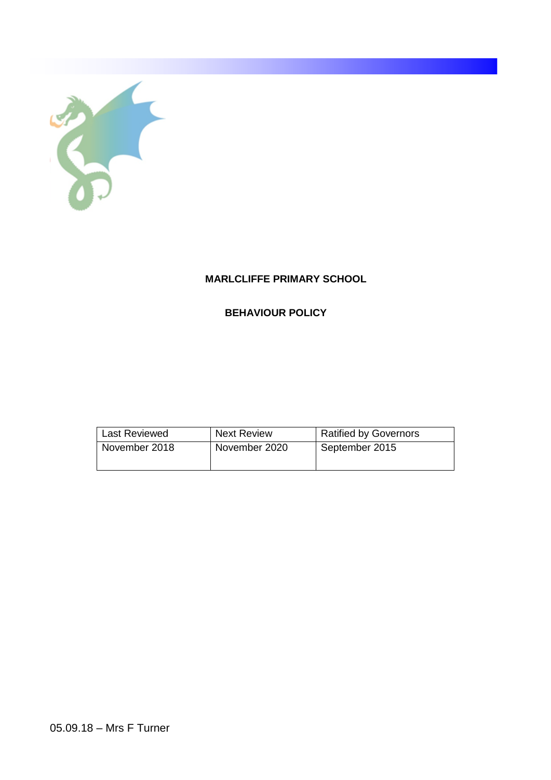

# **MARLCLIFFE PRIMARY SCHOOL**

# **BEHAVIOUR POLICY**

| <b>Last Reviewed</b> | <b>Next Review</b> | <b>Ratified by Governors</b> |
|----------------------|--------------------|------------------------------|
| November 2018        | November 2020      | September 2015               |
|                      |                    |                              |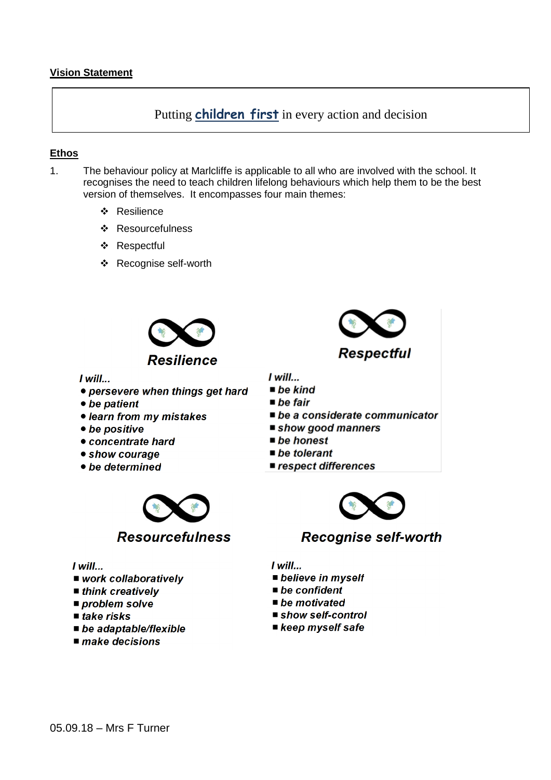Putting *children* first in every action and decision

# **Ethos**

- $1<sup>1</sup>$ The behaviour policy at Marlcliffe is applicable to all who are involved with the school. It recognises the need to teach children lifelong behaviours which help them to be the best version of themselves. It encompasses four main themes:
	- ❖ Resilience
	- ❖ Resourcefulness
	- ❖ Respectful
	- ❖ Recognise self-worth



 $I$  will...

- persevere when things get hard
- be patient
- learn from my mistakes
- be positive
- concentrate hard
- show courage
- be determined



### $I$  will...

- work collaboratively
- $\blacksquare$  think creatively
- $\blacksquare$  problem solve
- $\blacksquare$  take risks
- $\blacksquare$  be adaptable/flexible
- $\blacksquare$  make decisions



 $I$  will...

- $\blacksquare$  be kind
- $\blacksquare$  be fair
- be a considerate communicator
- show good manners
- $\blacksquare$  be honest
- $\blacksquare$  be tolerant
- respect differences



Recognise self-worth

 $I$  will...

- **believe in myself**
- $\blacksquare$  be confident
- $\blacksquare$  be motivated
- show self-control
- keep myself safe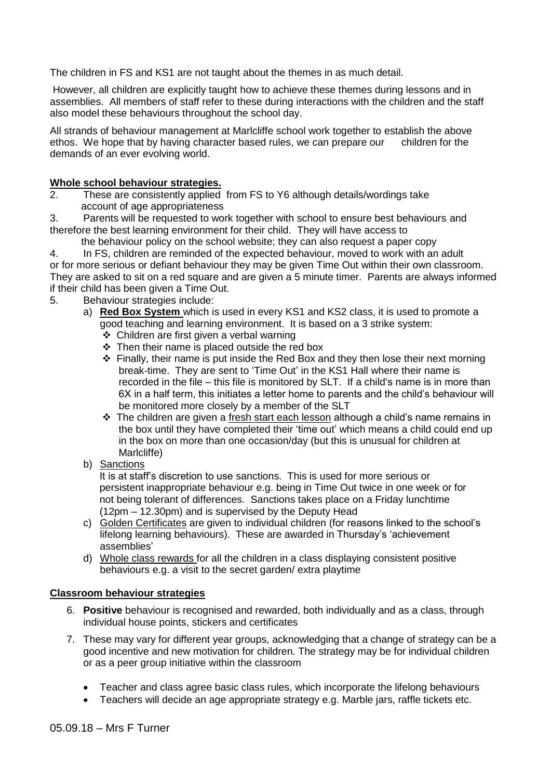The children in FS and KS1 are not taught about the themes in as much detail.

However, all children are explicitly taught how to achieve these themes during lessons and in assemblies. All members of staff refer to these during interactions with the children and the staff also model these behaviours throughout the school day.

All strands of behaviour management at Marlcliffe school work together to establish the above ethos. We hope that by having character based rules, we can prepare our children for the demands of an ever evolving world.

# **Whole school behaviour strategies.**

2. These are consistently applied from FS to Y6 although details/wordings take account of age appropriateness

3. Parents will be requested to work together with school to ensure best behaviours and therefore the best learning environment for their child. They will have access to

the behaviour policy on the school website; they can also request a paper copy

4. In FS, children are reminded of the expected behaviour, moved to work with an adult or for more serious or defiant behaviour they may be given Time Out within their own classroom. They are asked to sit on a red square and are given a 5 minute timer. Parents are always informed if their child has been given a Time Out.

- 5. Behaviour strategies include:
	- a) **Red Box System** which is used in every KS1 and KS2 class, it is used to promote a good teaching and learning environment. It is based on a 3 strike system:
		- ❖ Children are first given a verbal warning
		- $\div$  Then their name is placed outside the red box
		- $\div$  Finally, their name is put inside the Red Box and they then lose their next morning break-time. They are sent to 'Time Out' in the KS1 Hall where their name is recorded in the file – this file is monitored by SLT. If a child's name is in more than 6X in a half term, this initiates a letter home to parents and the child's behaviour will be monitored more closely by a member of the SLT
		- The children are given a fresh start each lesson although a child's name remains in the box until they have completed their 'time out' which means a child could end up in the box on more than one occasion/day (but this is unusual for children at Marlcliffe)
	- b) Sanctions

 It is at staff's discretion to use sanctions. This is used for more serious or persistent inappropriate behaviour e.g. being in Time Out twice in one week or for not being tolerant of differences. Sanctions takes place on a Friday lunchtime (12pm – 12.30pm) and is supervised by the Deputy Head

- c) Golden Certificates are given to individual children (for reasons linked to the school's lifelong learning behaviours). These are awarded in Thursday's 'achievement assemblies'
- d) Whole class rewards for all the children in a class displaying consistent positive behaviours e.g. a visit to the secret garden/ extra playtime

### **Classroom behaviour strategies**

- 6. **Positive** behaviour is recognised and rewarded, both individually and as a class, through individual house points, stickers and certificates
- 7. These may vary for different year groups, acknowledging that a change of strategy can be a good incentive and new motivation for children. The strategy may be for individual children or as a peer group initiative within the classroom
	- Teacher and class agree basic class rules, which incorporate the lifelong behaviours
	- Teachers will decide an age appropriate strategy e.g. Marble jars, raffle tickets etc.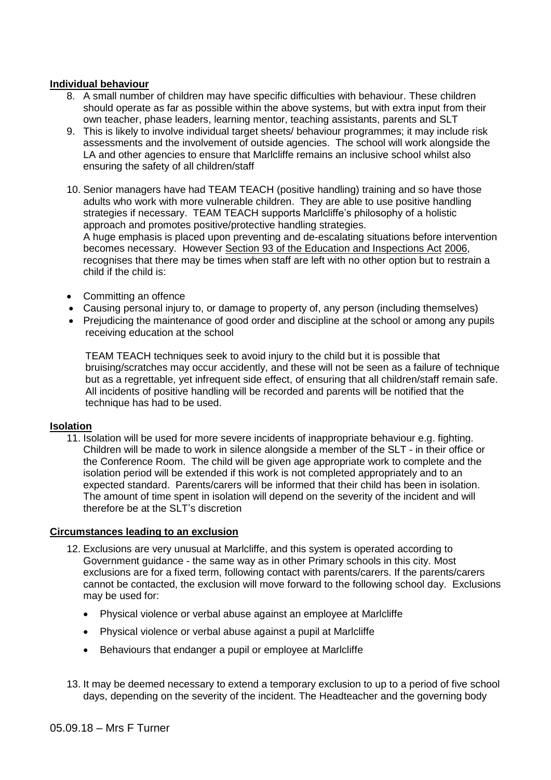# **Individual behaviour**

- 8. A small number of children may have specific difficulties with behaviour. These children should operate as far as possible within the above systems, but with extra input from their own teacher, phase leaders, learning mentor, teaching assistants, parents and SLT
- 9. This is likely to involve individual target sheets/ behaviour programmes; it may include risk assessments and the involvement of outside agencies. The school will work alongside the LA and other agencies to ensure that Marlcliffe remains an inclusive school whilst also ensuring the safety of all children/staff
- 10. Senior managers have had TEAM TEACH (positive handling) training and so have those adults who work with more vulnerable children. They are able to use positive handling strategies if necessary. TEAM TEACH supports Marlcliffe's philosophy of a holistic approach and promotes positive/protective handling strategies. A huge emphasis is placed upon preventing and de-escalating situations before intervention becomes necessary. However Section 93 of the Education and Inspections Act 2006, recognises that there may be times when staff are left with no other option but to restrain a child if the child is:
- Committing an offence
- Causing personal injury to, or damage to property of, any person (including themselves)
- Prejudicing the maintenance of good order and discipline at the school or among any pupils receiving education at the school

TEAM TEACH techniques seek to avoid injury to the child but it is possible that bruising/scratches may occur accidently, and these will not be seen as a failure of technique but as a regrettable, yet infrequent side effect, of ensuring that all children/staff remain safe. All incidents of positive handling will be recorded and parents will be notified that the technique has had to be used.

### **Isolation**

11. Isolation will be used for more severe incidents of inappropriate behaviour e.g. fighting. Children will be made to work in silence alongside a member of the SLT - in their office or the Conference Room. The child will be given age appropriate work to complete and the isolation period will be extended if this work is not completed appropriately and to an expected standard. Parents/carers will be informed that their child has been in isolation. The amount of time spent in isolation will depend on the severity of the incident and will therefore be at the SLT's discretion

### **Circumstances leading to an exclusion**

- 12. Exclusions are very unusual at Marlcliffe, and this system is operated according to Government guidance - the same way as in other Primary schools in this city. Most exclusions are for a fixed term, following contact with parents/carers. If the parents/carers cannot be contacted, the exclusion will move forward to the following school day. Exclusions may be used for:
	- Physical violence or verbal abuse against an employee at Marlcliffe
	- Physical violence or verbal abuse against a pupil at Marlcliffe
	- Behaviours that endanger a pupil or employee at Marlcliffe
- 13. It may be deemed necessary to extend a temporary exclusion to up to a period of five school days, depending on the severity of the incident. The Headteacher and the governing body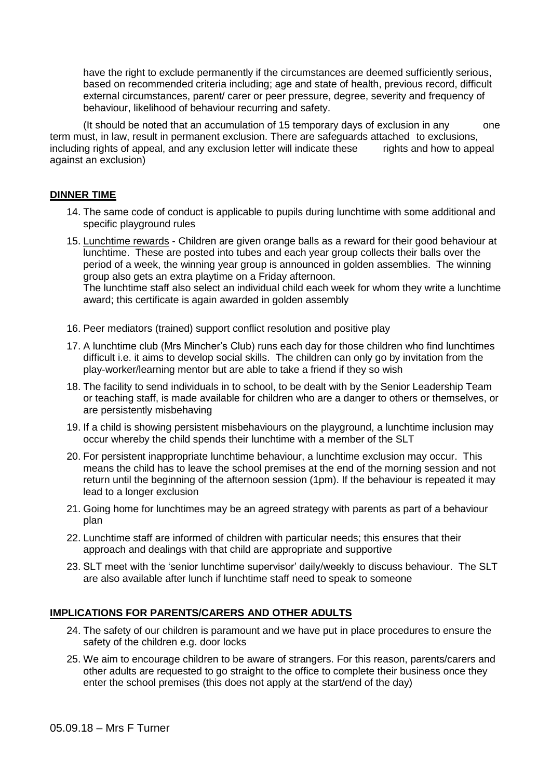have the right to exclude permanently if the circumstances are deemed sufficiently serious, based on recommended criteria including; age and state of health, previous record, difficult external circumstances, parent/ carer or peer pressure, degree, severity and frequency of behaviour, likelihood of behaviour recurring and safety.

(It should be noted that an accumulation of 15 temporary days of exclusion in any one term must, in law, result in permanent exclusion. There are safeguards attached to exclusions, including rights of appeal, and any exclusion letter will indicate these rights and how to appeal against an exclusion)

## **DINNER TIME**

- 14. The same code of conduct is applicable to pupils during lunchtime with some additional and specific playground rules
- 15. Lunchtime rewards Children are given orange balls as a reward for their good behaviour at lunchtime. These are posted into tubes and each year group collects their balls over the period of a week, the winning year group is announced in golden assemblies. The winning group also gets an extra playtime on a Friday afternoon. The lunchtime staff also select an individual child each week for whom they write a lunchtime award; this certificate is again awarded in golden assembly
- 16. Peer mediators (trained) support conflict resolution and positive play
- 17. A lunchtime club (Mrs Mincher's Club) runs each day for those children who find lunchtimes difficult i.e. it aims to develop social skills. The children can only go by invitation from the play-worker/learning mentor but are able to take a friend if they so wish
- 18. The facility to send individuals in to school, to be dealt with by the Senior Leadership Team or teaching staff, is made available for children who are a danger to others or themselves, or are persistently misbehaving
- 19. If a child is showing persistent misbehaviours on the playground, a lunchtime inclusion may occur whereby the child spends their lunchtime with a member of the SLT
- 20. For persistent inappropriate lunchtime behaviour, a lunchtime exclusion may occur. This means the child has to leave the school premises at the end of the morning session and not return until the beginning of the afternoon session (1pm). If the behaviour is repeated it may lead to a longer exclusion
- 21. Going home for lunchtimes may be an agreed strategy with parents as part of a behaviour plan
- 22. Lunchtime staff are informed of children with particular needs; this ensures that their approach and dealings with that child are appropriate and supportive
- 23. SLT meet with the 'senior lunchtime supervisor' daily/weekly to discuss behaviour. The SLT are also available after lunch if lunchtime staff need to speak to someone

### **IMPLICATIONS FOR PARENTS/CARERS AND OTHER ADULTS**

- 24. The safety of our children is paramount and we have put in place procedures to ensure the safety of the children e.g. door locks
- 25. We aim to encourage children to be aware of strangers. For this reason, parents/carers and other adults are requested to go straight to the office to complete their business once they enter the school premises (this does not apply at the start/end of the day)